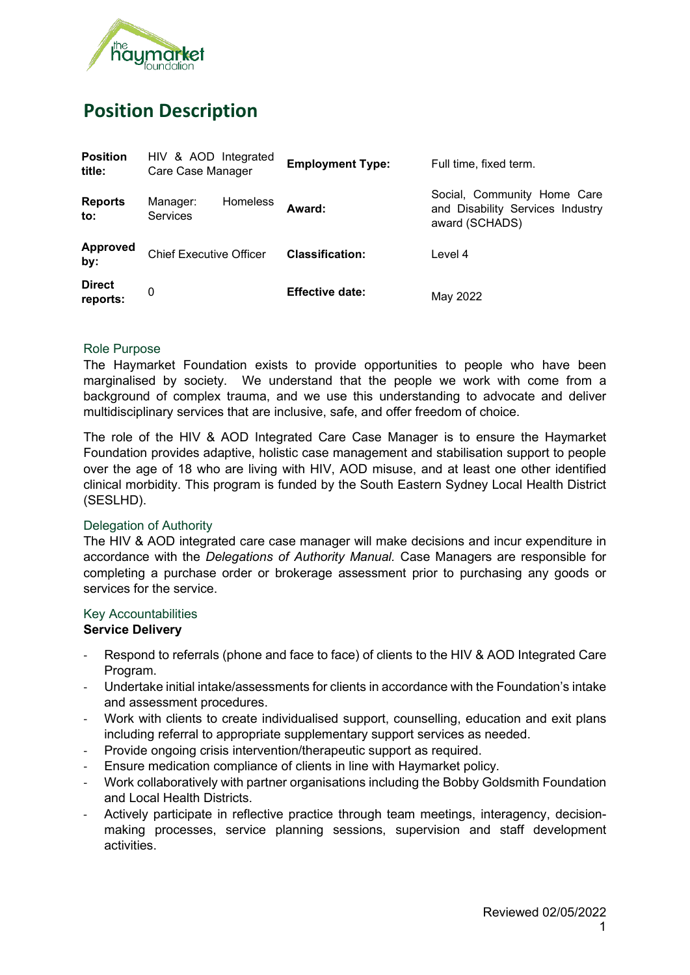

# **Position Description**

| <b>Position</b><br>title: | HIV & AOD Integrated<br>Care Case Manager | <b>Employment Type:</b> | Full time, fixed term.                                                            |
|---------------------------|-------------------------------------------|-------------------------|-----------------------------------------------------------------------------------|
| <b>Reports</b><br>to:     | Homeless<br>Manager:<br><b>Services</b>   | Award:                  | Social, Community Home Care<br>and Disability Services Industry<br>award (SCHADS) |
| <b>Approved</b><br>by:    | <b>Chief Executive Officer</b>            | <b>Classification:</b>  | Level 4                                                                           |
| <b>Direct</b><br>reports: | 0                                         | <b>Effective date:</b>  | May 2022                                                                          |

#### Role Purpose

The Haymarket Foundation exists to provide opportunities to people who have been marginalised by society. We understand that the people we work with come from a background of complex trauma, and we use this understanding to advocate and deliver multidisciplinary services that are inclusive, safe, and offer freedom of choice.

The role of the HIV & AOD Integrated Care Case Manager is to ensure the Haymarket Foundation provides adaptive, holistic case management and stabilisation support to people over the age of 18 who are living with HIV, AOD misuse, and at least one other identified clinical morbidity. This program is funded by the South Eastern Sydney Local Health District (SESLHD).

#### Delegation of Authority

The HIV & AOD integrated care case manager will make decisions and incur expenditure in accordance with the *Delegations of Authority Manual.* Case Managers are responsible for completing a purchase order or brokerage assessment prior to purchasing any goods or services for the service.

#### Key Accountabilities

#### **Service Delivery**

- Respond to referrals (phone and face to face) of clients to the HIV & AOD Integrated Care Program.
- Undertake initial intake/assessments for clients in accordance with the Foundation's intake and assessment procedures.
- Work with clients to create individualised support, counselling, education and exit plans including referral to appropriate supplementary support services as needed.
- Provide ongoing crisis intervention/therapeutic support as required.
- Ensure medication compliance of clients in line with Haymarket policy.
- Work collaboratively with partner organisations including the Bobby Goldsmith Foundation and Local Health Districts.
- Actively participate in reflective practice through team meetings, interagency, decisionmaking processes, service planning sessions, supervision and staff development activities.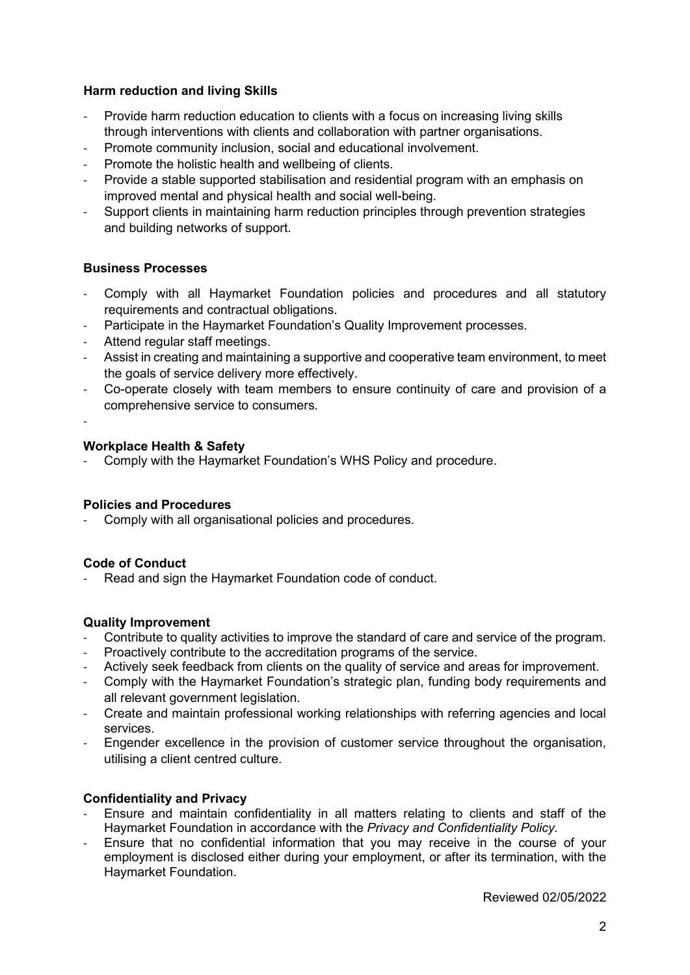### **Harm reduction and living Skills**

- Provide harm reduction education to clients with a focus on increasing living skills through interventions with clients and collaboration with partner organisations.
- Promote community inclusion, social and educational involvement.
- Promote the holistic health and wellbeing of clients.
- Provide a stable supported stabilisation and residential program with an emphasis on improved mental and physical health and social well-being.
- Support clients in maintaining harm reduction principles through prevention strategies and building networks of support.

# **Business Processes**

- Comply with all Haymarket Foundation policies and procedures and all statutory requirements and contractual obligations.
- Participate in the Haymarket Foundation's Quality Improvement processes.
- Attend regular staff meetings.
- Assist in creating and maintaining a supportive and cooperative team environment, to meet the goals of service delivery more effectively.
- Co-operate closely with team members to ensure continuity of care and provision of a comprehensive service to consumers.
- -

#### **Workplace Health & Safety**

- Comply with the Haymarket Foundation's WHS Policy and procedure.

#### **Policies and Procedures**

Comply with all organisational policies and procedures.

#### **Code of Conduct**

Read and sign the Haymarket Foundation code of conduct.

#### **Quality Improvement**

- Contribute to quality activities to improve the standard of care and service of the program.
- Proactively contribute to the accreditation programs of the service.
- Actively seek feedback from clients on the quality of service and areas for improvement.
- Comply with the Haymarket Foundation's strategic plan, funding body requirements and all relevant government legislation.
- Create and maintain professional working relationships with referring agencies and local services.
- Engender excellence in the provision of customer service throughout the organisation, utilising a client centred culture.

# **Confidentiality and Privacy**

- Ensure and maintain confidentiality in all matters relating to clients and staff of the Haymarket Foundation in accordance with the *Privacy and Confidentiality Policy.*
- Ensure that no confidential information that you may receive in the course of your employment is disclosed either during your employment, or after its termination, with the Haymarket Foundation.